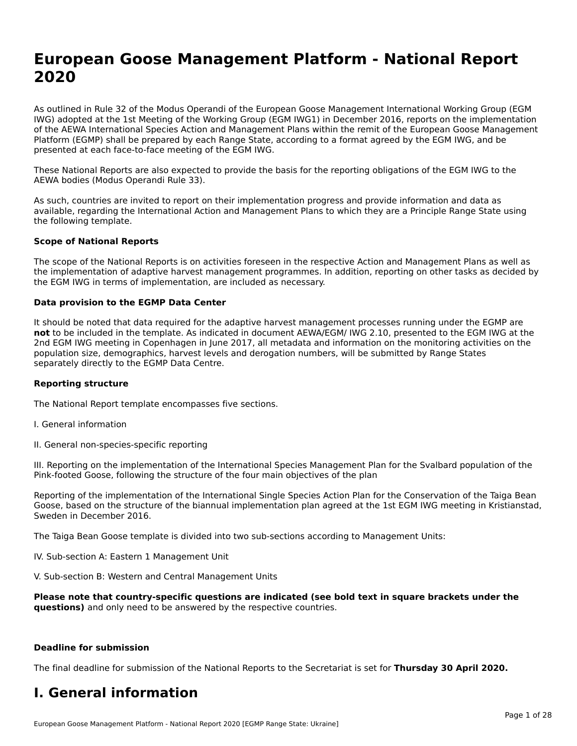# **European Goose Management Platform - National Report**European Goose Management Platform - National **Neport**<br>2020

As outlined in Rule 32 of the Modus Operandi of the European Goose Management International Working Group (EGM As buthled in Rule 32 of the Modus Operandi of the Lufopean Goose Management International Working Group (LGM<br>IWG) adopted at the 1st Meeting of the Working Group (EGM IWG1) in December 2016, reports on the implementation of the AEWA International Species Action and Management Plans within the remit of the European Goose Management Platform (EGMP) shall be prepared by each Range State, according to a format agreed by the EGM IWG, and be presented at each face-to-face meeting of the EGM IWG.

These National Reports are also expected to provide the basis for the reporting obligations of the EGM IWG to the AEWA bodies (Modus Operandi Rule 33).

As such, countries are invited to report on their implementation progress and provide information and data as<br>available, regarding the International Action and Management Plans to which they are a Principle Range State usi available, regarding the International Action and Management Plans to which they are a Principle Range State using the following template.

#### **Scope of National Reports**

The scope of the National Reports is on activities foreseen in the respective Action and Management Plans as well as The scope of the National Reports is on activities foreseen in the respective Action and Management Plans as well as<br>the implementation of adaptive harvest management programmes. In addition, reporting on other tasks as de the EGM IWG in terms of implementation, are included as necessary.

#### **Data provision to the EGMP Data Center**

It should be noted that data required for the adaptive harvest management processes running under the EGMP are **not** to be included in the template. As indicated in document AEWA/EGM/ IWG 2.10, presented to the EGM IWG at the 2nd EGM IWG meeting in Copenhagen in June 2017, all metadata and information on the monitoring activities on the population size, demographics, harvest levels and derogation numbers, will be submitted by Range States separately directly to the EGMP Data Centre.

#### **Reporting structure**

The National Report template encompasses five sections.

- I. General information
- II. General non-species-specific reporting

III. Reporting on the implementation of the International Species Management Plan for the Svalbard population of the

Reporting of the implementation of the International Single Species Action Plan for the Conservation of the Taiga Bean Reporting of the implementation of the international single species Action Fram for the conservation of the laiga beam<br>Goose, based on the structure of the biannual implementation plan agreed at the 1st EGM IWG meeting in

The Taiga Bean Goose template is divided into two sub-sections according to Management Units:

IV. Sub-section A: Eastern 1 Management Unit

V. Sub-section B: Western and Central Management Units

Please note that country-specific questions are indicated (see bold text in square brackets under the **questions)** and only need to be answered by the respective countries.

#### **Deadline for submission**

The final deadline for submission of the National Reports to the Secretariat is set for **Thursday 30 April 2020.**

### **I. General information**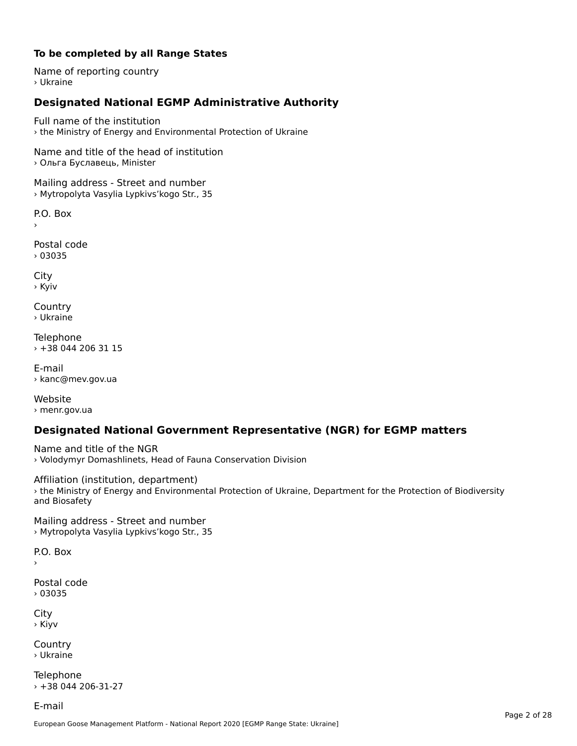# **To be completed by all Range States**

Name of reporting country › Ukraine

# **Designated National EGMP Administrative Authority**

Full name of the institution› the Ministry of Energy and Environmental Protection of Ukraine

Name and title of the head of institution › Ольга Буславець, Minister

Mailing address - Street and number › Mytropolyta Vasylia Lypkivs'kogo Str., 35

P.O. Box

Postal code› 03035

City › Kyiv

**Country** › Ukraine

Telephone › +38 044 206 31 15

E-mail› kanc@mev.gov.ua

Website› menr.gov.ua

# **Designated National Government Representative (NGR) for EGMP matters**

Name and title of the NGR › Volodymyr Domashlinets, Head of Fauna Conservation Division

Affiliation (institution, department) › the Ministry of Energy and Environmental Protection of Ukraine, Department for the Protection of Biodiversity and Biosafety<br>and Biosafety

Mailing address - Street and number › Mytropolyta Vasylia Lypkivs'kogo Str., 35

 $\overline{P}$ ›

Postal code › 03035

City › Kiyv

Country› Ukraine

Telephone › +38 044 206-31-27

E-mail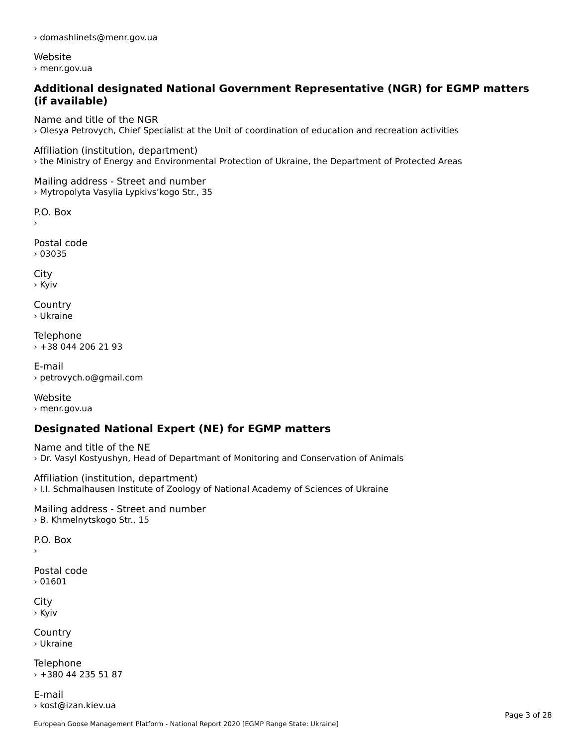› domashlinets@menr.gov.ua

Website› menr.gov.ua

# **Additional designated National Government Representative (NGR) for EGMP matters (if available)**

Name and title of the NGR › Olesya Petrovych, Chief Specialist at the Unit of coordination of education and recreation activities

Affiliation (institution, department) › the Ministry of Energy and Environmental Protection of Ukraine, the Department of Protected Areas

Mailing address - Street and number › Mytropolyta Vasylia Lypkivs'kogo Str., 35

P.O. Box

›

Postal code› 03035

City › Kyiv

Country› Ukraine

Telephone › +38 044 206 21 93

E-mail› petrovych.o@gmail.com

Website› menr.gov.ua

# **Designated National Expert (NE) for EGMP matters**

Name and title of the NE› Dr. Vasyl Kostyushyn, Head of Departmant of Monitoring and Conservation of Animals

Affiliation (institution, department) › I.I. Schmalhausen Institute of Zoology of National Academy of Sciences of Ukraine

Mailing address - Street and number › B. Khmelnytskogo Str., 15

P.O. Box›

Postal code› 01601

City › Kyiv

Country› Ukraine

Telephone › +380 44 235 51 87

E-mail › kost@izan.kiev.ua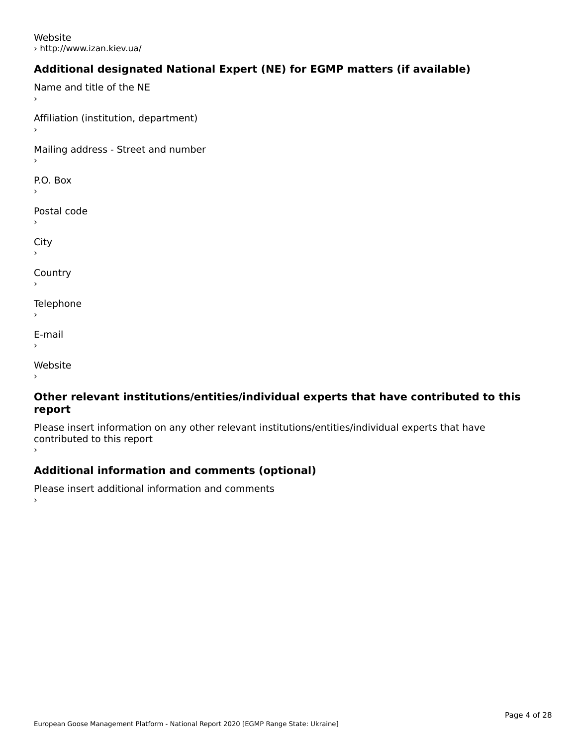Website› http://www.izan.kiev.ua/

# **Additional designated National Expert (NE) for EGMP matters (if available)**

Name and title of the NE

Affiliation (institution, department)

Mailing address - Street and number

P.O. Box

Postal code

 $\mathbf{C}^{\text{in}}$ 

›

**Country** 

**Telephone** 

E-mail›

website<br>Website ›

### **Other relevant institutions/entities/individual experts that have contributed to this report**report

Please insert information on any other relevant institutions/entities/individual experts that have riease insert information<br>contributed to this report

# **Additional information and comments (optional)**

Please insert additional information and comments ›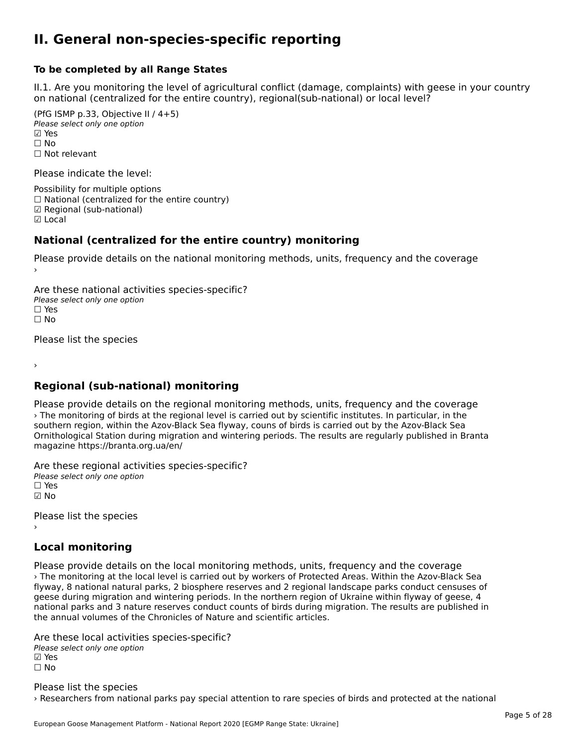### **II. General non-species-specific reporting**

#### **To be completed by all Range States**

II.1. Are you monitoring the level of agricultural conflict (damage, complaints) with geese in your country n.i. Are you monitoring the lever or agricultural connict (damage, complaints) with g<br>on national (centralized for the entire country), regional(sub-national) or local level?

(PfG ISMP p.33, Objective II  $(4+5)$ ) Please select only one option ☑ Yes**☑ Yes**<br>□ No □ No<br>□ Not relevant

Please indicate the level:

Possibility for multiple options  $\Box$  National (centralized for the entire country) **☑ Regional (sub-national)**<br>☑ Local

#### **National (centralized for the entire country) monitoring**

Please provide details on the national monitoring methods, units, frequency and the coverage

Are these national activities species-specific? ∩ne enese national activity<br>Please select only one option ים וכ<br>⊡ No

Please list the species

›

# **Regional (sub-national) monitoring**

Please provide details on the regional monitoring methods, units, frequency and the coverage › The monitoring of birds at the regional level is carried out by scientific institutes. In particular, in the southern region, within the Azov-Black Sea flyway, couns of birds is carried out by the Azov-Black Sea Ornithological Station during migration and wintering periods. The results are regularly published in Branta magazine https://branta.org.ua/en/

Are these regional activities species-specific? ∩ne enese regional activ<br>Please select only one option

☑ No

Please list the species ›

# **Local monitoring**

Please provide details on the local monitoring methods, units, frequency and the coverage › The monitoring at the local level is carried out by workers of Protected Areas. Within the Azov-Black Sea flyway, 8 national natural parks, 2 biosphere reserves and 2 regional landscape parks conduct censuses of nyway, o hadonal hatural parks, 2 biosphere reserves and 2 regional landscape parks conduct censuses t<br>geese during migration and wintering periods. In the northern region of Ukraine within flyway of geese, 4 geese during migration and wintening periods. In the northern region or okrame within hyway or geese, 4<br>national parks and 3 nature reserves conduct counts of birds during migration. The results are published in the annual volumes of the Chronicles of Nature and scientific articles.

Are these local activities species-specific? ∧ne these local detivitie.<br>Please select only one option **☑ Yes**<br>□ No

Please list the species › Researchers from national parks pay special attention to rare species of birds and protected at the national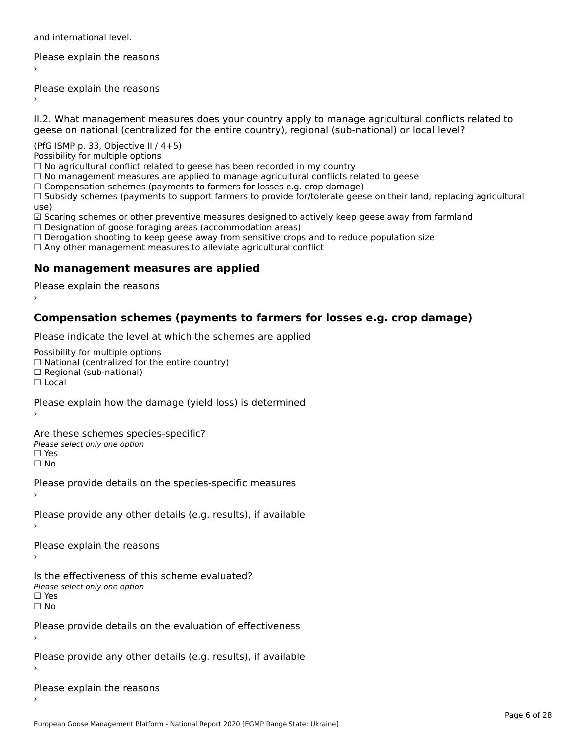and international level.

Please explain the reasons›

Please explain the reasons ›

II.2. What management measures does your country apply to manage agricultural conflicts related to

(PfG ISMP p. 33, Objective II  $/$  4+5)

Possibility for multiple options

rossibility for multiple options<br>□ No agricultural conflict related to geese has been recorded in my country

 $\Box$  No management measures are applied to manage agricultural conflicts related to geese

□ No management measures are applied to manage agricultural connicts rela<br>□ Compensation schemes (payments to farmers for losses e.g. crop damage)

∟ Compensation schemes (payments to farmers for fosses e.g. crop damage)<br>□ Subsidy schemes (payments to support farmers to provide for/tolerate geese on their land, replacing agricultural use)

use,<br>☑ Scaring schemes or other preventive measures designed to actively keep geese away from farmland ⊠ Scaring scrientes of other preventive measures designed to a<br>□ Designation of goose foraging areas (accommodation areas)

□ Designation or goose foraging areas (accommodation areas)<br>□ Derogation shooting to keep geese away from sensitive crops and to reduce population size

□ Derogation shooting to keep geese away nom sensitive crops and<br>□ Any other management measures to alleviate agricultural conflict

# **No management measures are applied**

Please explain the reasons ›

# **Compensation schemes (payments to farmers for losses e.g. crop damage)**

Please indicate the level at which the schemes are applied

Possibility for multiple options

™assibility for multiple options<br>□ National (centralized for the entire country) □ National (centralized io<br>□ Regional (sub-national)

☐ Local

Please explain how the damage (yield loss) is determined

Are these schemes species-specific?ric criese serientes spec<br>Please select only one option ☐ Yes☐ No

Please provide details on the species-specific measures

Please provide any other details (e.g. results), if available

Please explain the reasons

Is the effectiveness of this scheme evaluated? Please select only one option ☐ Yes☐ No

Please provide details on the evaluation of effectiveness

Please provide any other details (e.g. results), if available

Please explain the reasons›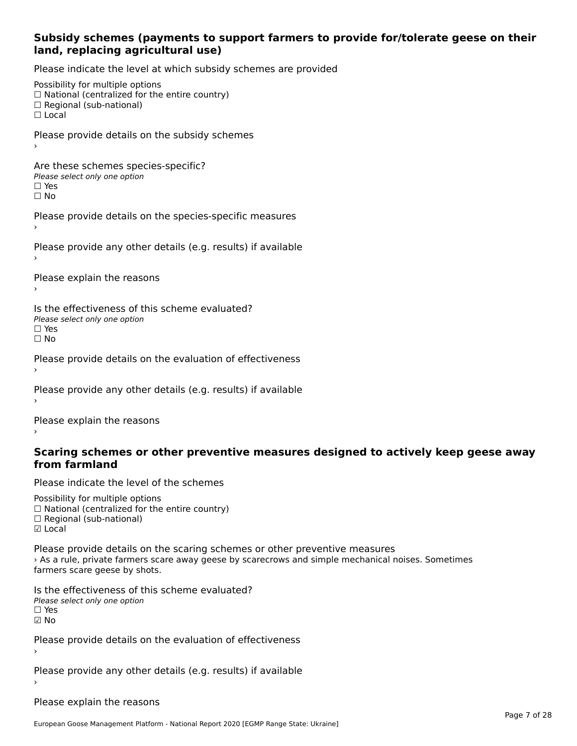### **Subsidy schemes (payments to support farmers to provide for/tolerate geese on their land, replacing agricultural use)**

Please indicate the level at which subsidy schemes are provided

Possibility for multiple options rossibility for multiple options<br>□ National (centralized for the entire country) □ Regional (centranzed to<br>□ Regional (sub-national) ☐ LocalPlease provide details on the subsidy schemes Are these schemes species-specific?∩ne these senemes spee<br>Please select only one option □ Yes<br>□ No Please provide details on the species-specific measures Please provide any other details (e.g. results) if available Please explain the reasons Is the effectiveness of this scheme evaluated?□ CIC CILCCLIVENC55 OF C<br>Please select only one option □ Yes<br>□ No Please provide details on the evaluation of effectiveness Please provide any other details (e.g. results) if available

Please explain the reasons

#### **Scaring schemes or other preventive measures designed to actively keep geese awayfrom farmland**

Please indicate the level of the schemes

Possibility for multiple options rossibility for multiple options<br>□ National (centralized for the entire country) ☐ Regional (sub-national) ☑ Local**☑** Local

Please provide details on the scaring schemes or other preventive measures › As a rule, private farmers scare away geese by scarecrows and simple mechanical noises. Sometimes s a rule, private familiers scare<br>farmers scare geese by shots.

Is the effectiveness of this scheme evaluated? □ CIC CILCCLIVENC55 OF C<br>Please select only one option ☑ No

Please provide details on the evaluation of effectiveness

Please provide any other details (e.g. results) if available

Please explain the reasons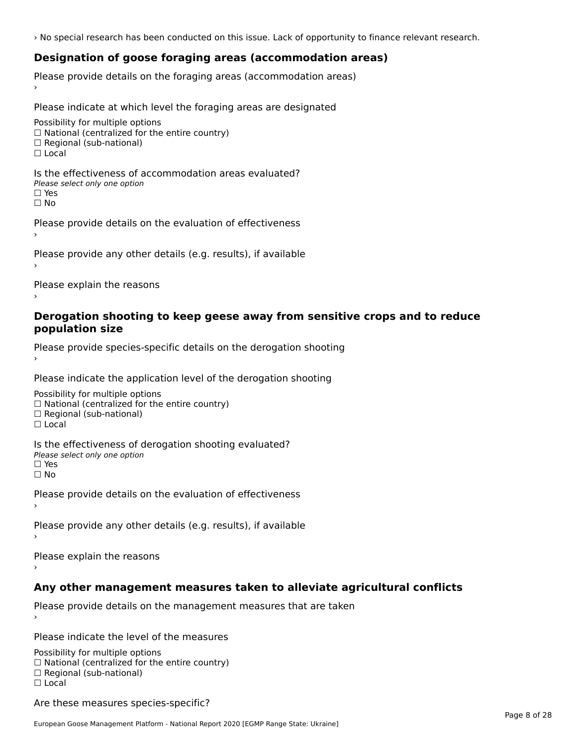› No special research has been conducted on this issue. Lack of opportunity to finance relevant research.

# **Designation of goose foraging areas (accommodation areas)**

Please provide details on the foraging areas (accommodation areas)

Please indicate at which level the foraging areas are designated

Possibility for multiple options rossibility for multiple options<br>□ National (centralized for the entire country) □ National (centralized io<br>□ Regional (sub-national)  $\Box$  Local

Is the effectiveness of accommodation areas evaluated?□ CITC CITCCITCITESS OF Q<br>Please select only one option

ים וכ<br>⊡ No

Please provide details on the evaluation of effectiveness

Please provide any other details (e.g. results), if available

Please explain the reasons

### **Derogation shooting to keep geese away from sensitive crops and to reduce population size**population size

Please provide species-specific details on the derogation shooting ›

Please indicate the application level of the derogation shooting

Possibility for multiple options  $\Box$  National (centralized for the entire country)<br> $\Box$  National (centralized for the entire country)  $\Box$  Regional (sub-national) ☐ Local

Is the effectiveness of derogation shooting evaluated? □ CILC CILCCIVENC55 OF O<br>Please select only one option □ Yes<br>□ No

Please provide details on the evaluation of effectiveness

Please provide any other details (e.g. results), if available

Please explain the reasons

# **Any other management measures taken to alleviate agricultural conflicts**

Please provide details on the management measures that are taken

Please indicate the level of the measures

Possibility for multiple options rossibility for multiple options<br>□ National (centralized for the entire country) □ National (centralized io<br>□ Regional (sub-national) ☐ Local

Are these measures species-specific?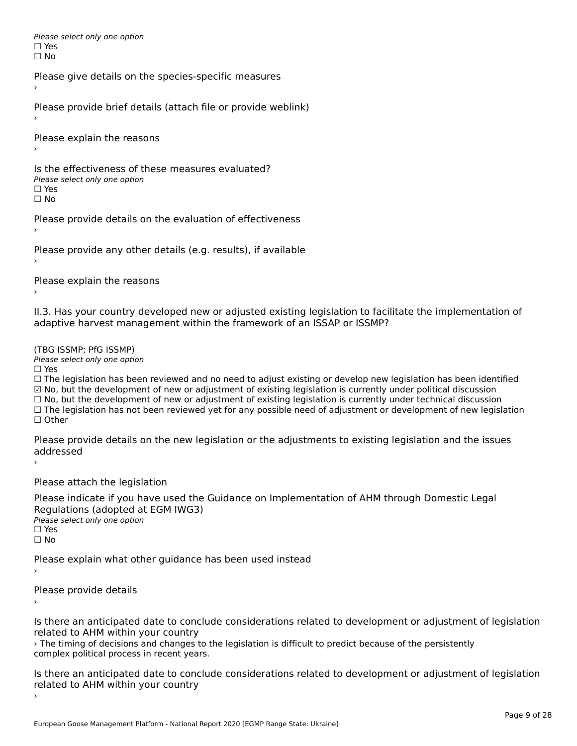Please select only one optionriease<br>□ Yes □ Yes<br>□ No

Please give details on the species-specific measures

Please provide brief details (attach file or provide weblink)

Please explain the reasons

Is the effectiveness of these measures evaluated?□ CITC CITCCLIVENC55 OF C<br>Please select only one option □ Yes<br>□ No

Please provide details on the evaluation of effectiveness

Please provide any other details (e.g. results), if available

Please explain the reasons

II.3. Has your country developed new or adjusted existing legislation to facilitate the implementation of

(TBG ISSMP; PfG ISSMP)

Please select only one option ☐ Yes

☐ The legislation has been reviewed and no need to adjust existing or develop new legislation has been identified ☑ No, but the development of new or adjustment of existing legislation is currently under political discussion ⊠ No, but the development of new or adjustment of existing legislation is currently under political discussion<br>□ No, but the development of new or adjustment of existing legislation is currently under technical discussion □ No, but the development of hew or adjustment of existing regislation is currently under technical discussion<br>□ The legislation has not been reviewed yet for any possible need of adjustment or development of new legislat

Please provide details on the new legislation or the adjustments to existing legislation and the issues uuurcoscu

Please attach the legislation

Please indicate if you have used the Guidance on Implementation of AHM through Domestic Legal Regulations (adopted at EGM IWG3)<br>Please select only one option *riease*<br>□ Yes ☐ No

Please explain what other guidance has been used instead

Please provide details

Is there an anticipated date to conclude considerations related to development or adjustment of legislation related to AHM within your country

› The timing of decisions and changes to the legislation is difficult to predict because of the persistently The timing of decisions and changes to a

Is there an anticipated date to conclude considerations related to development or adjustment of legislation related to Arm within your country

European Goose Management Platform - National Report 2020 [EGMP Range State: Ukraine]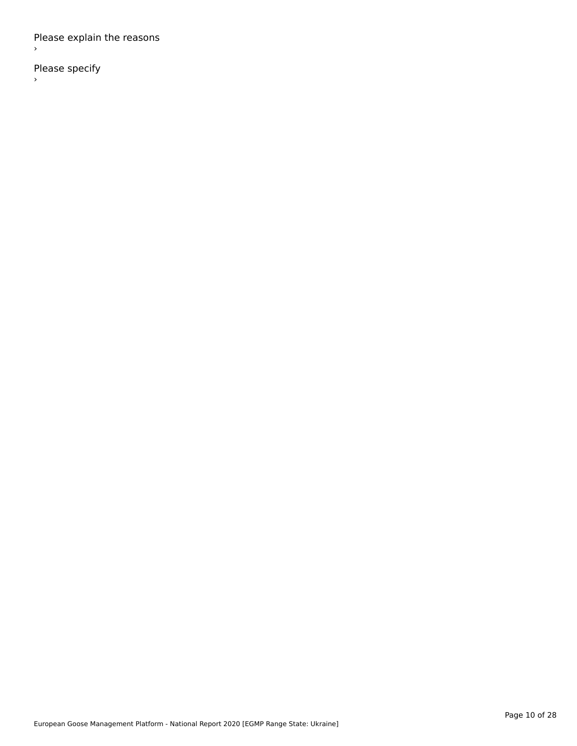Please explain the reasons ›

Please specify  $\rightarrow$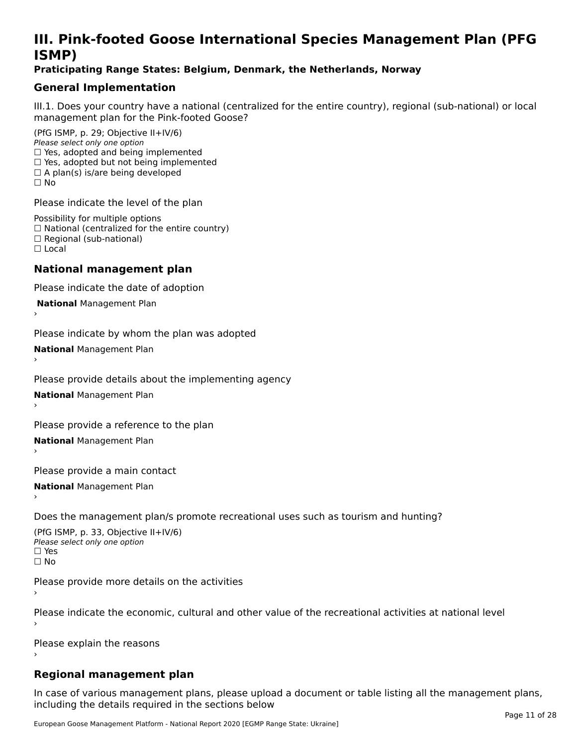# **III. Pink-footed Goose International Species Management Plan (PFG**III. FIIIN-IUULEU GUUSE IIILEI II**atiunai Species Management Fian (FTG**<br>ISMD)

# **Praticipating Range States: Belgium, Denmark, the Netherlands, Norway**

# **General Implementation**

III.1. Does your country have a national (centralized for the entire country), regional (sub-national) or local

(PfG ISMP, p. 29; Objective II+IV/6) Please select only one option *riease select only one option*<br>□ Yes, adopted and being implemented  $\Box$  res, adopted and being implemented<br> $\Box$  Yes, adopted but not being implemented  $\Box$  A plan(s) is/are being developed ☐ No

Please indicate the level of the plan

Possibility for multiple options rossibility for multiple options<br>□ National (centralized for the entire country) □ National (centralized io<br>□ Regional (sub-national) ☐ Local

#### **National management plan**

Please indicate the date of adoption

 **National** Management Plan

›

Please indicate by whom the plan was adopted

**National** Management Plan ›

Please provide details about the implementing agency

**National** Management Plan ›

Please provide a reference to the plan

**National** Management Plan ›

Please provide a main contact

**National** Management Plan ›

Does the management plan/s promote recreational uses such as tourism and hunting?

(PfG ISMP, p. 33, Objective II+IV/6) Please select only one optionPlease select only one option  $\square$  Yes ☐ No

Please provide more details on the activities

Please indicate the economic, cultural and other value of the recreational activities at national level

Please explain the reasons

# **Regional management plan**

In case of various management plans, please upload a document or table listing all the management plans, $\frac{1}{2}$  case of various management plans, please uploa including the details required in the sections below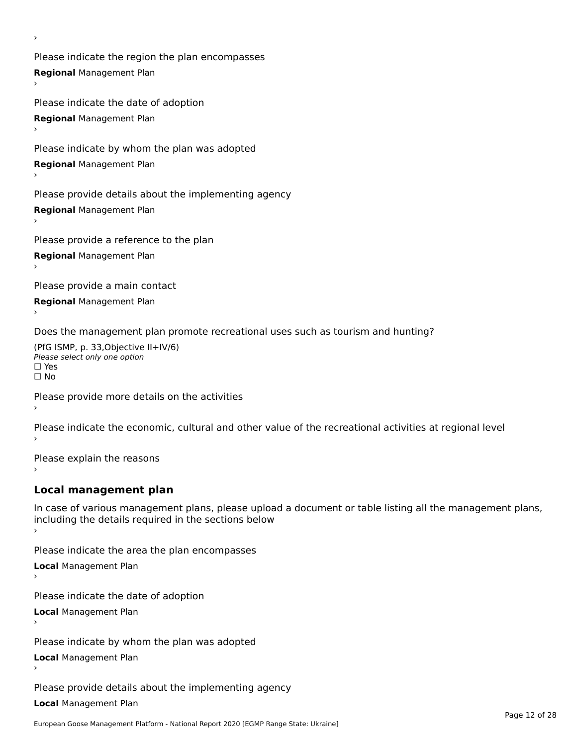Please indicate the region the plan encompasses **Regional** Management Plan

Please indicate the date of adoption **Regional** Management Plan ›

Please indicate by whom the plan was adopted

**Regional** Management Plan

›

Please provide details about the implementing agency

**Regional** Management Plan

Please provide a reference to the plan

**Regional** Management Plan

Please provide a main contact

**Regional** Management Plan

Does the management plan promote recreational uses such as tourism and hunting?

(PfG ISMP, p. 33,Objective II+IV/6) ∩∩ וויוכו פון<br>Please select only one option<br>□ Yes □ Yes<br>□ No

Please provide more details on the activities

Please indicate the economic, cultural and other value of the recreational activities at regional level

Please explain the reasons ›

# **Local management plan**

In case of various management plans, please upload a document or table listing all the management plans, In case of various management plans, please uploa<br>including the details required in the sections below

Please indicate the area the plan encompasses

**Local** Management Plan

Please indicate the date of adoption

**Local** Management Plan›

Please indicate by whom the plan was adopted

**Local** Management Plan

Please provide details about the implementing agency

**Local** Management Plan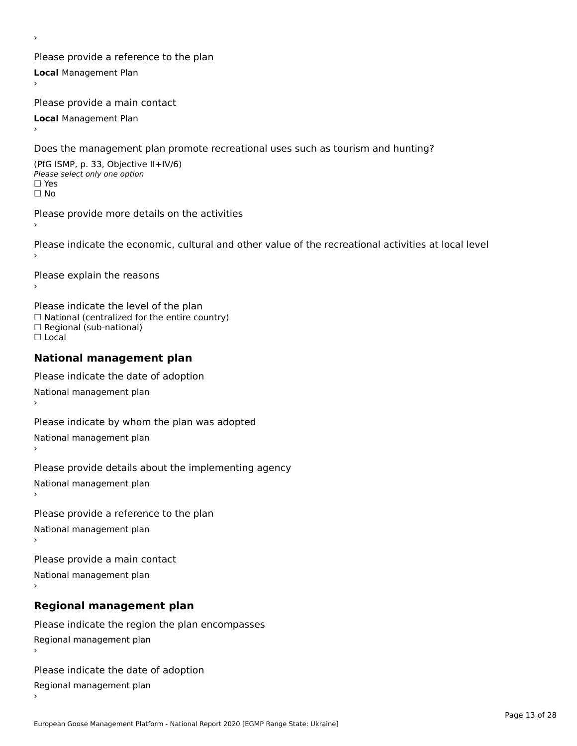Please provide a reference to the plan **Local** Management Plan

Please provide a main contact

**Local** Management Plan

›

Does the management plan promote recreational uses such as tourism and hunting?

(PfG ISMP, p. 33, Objective II+IV/6) Please select only one option☐ Yes☐ No

Please provide more details on the activities

Please indicate the economic, cultural and other value of the recreational activities at local level

Please explain the reasons ›

Please indicate the level of the plan ∩ease marcate the lever of the plan<br>□ National (centralized for the entire country) □ National (centralized io<br>□ Regional (sub-national) ☐ Local

#### **National management plan**

Please indicate the date of adoption National management plan

Please indicate by whom the plan was adopted National management plan ›

Please provide details about the implementing agency

National management plan

Please provide a reference to the plan

National management plan

Please provide a main contact

National management plan

# **Regional management plan**

Please indicate the region the plan encompasses Regional management plan

Please indicate the date of adoption

Regional management plan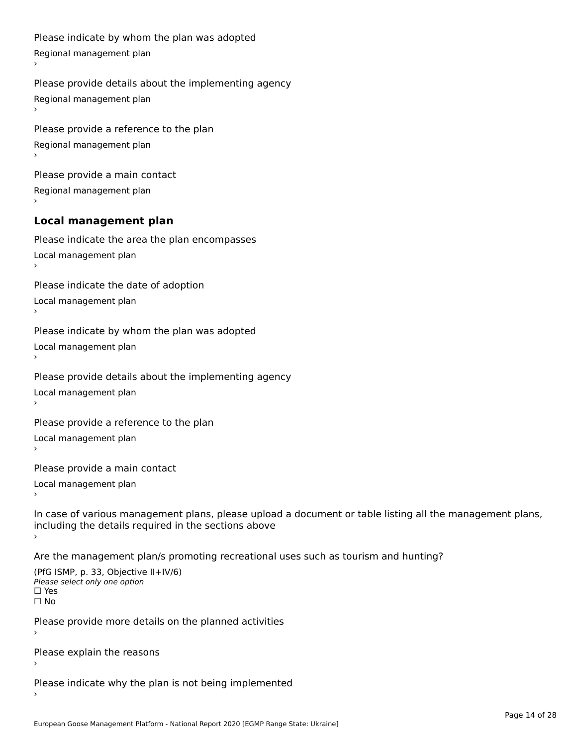```
Please indicate by whom the plan was adopted Regional management plan
Please provide details about the implementing agency Regional management plan
Please provide a reference to the plan Regional management plan
Please provide a main contact Regional management plan
Local management plan
Please indicate the area the plan encompasses Local management plan›Please indicate the date of adoption Local management plan١,
Please indicate by whom the plan was adopted Local management plan›Please provide details about the implementing agency Local management planا<br>ا
Please provide a reference to the plan Local management plan›Please provide a main contact Local management planا<br>ا
In case of various management plans, please upload a document or table listing all the management plans,in case or various management plans, please upload
including the details required in the sections above
Are the management plan/s promoting recreational uses such as tourism and hunting?
```

```
(PfG ISMP, p. 33, Objective II+IV/6)
Please select only one option☐ Yes☐ No
```
Please provide more details on the planned activities

Please explain the reasons›

Please indicate why the plan is not being implemented›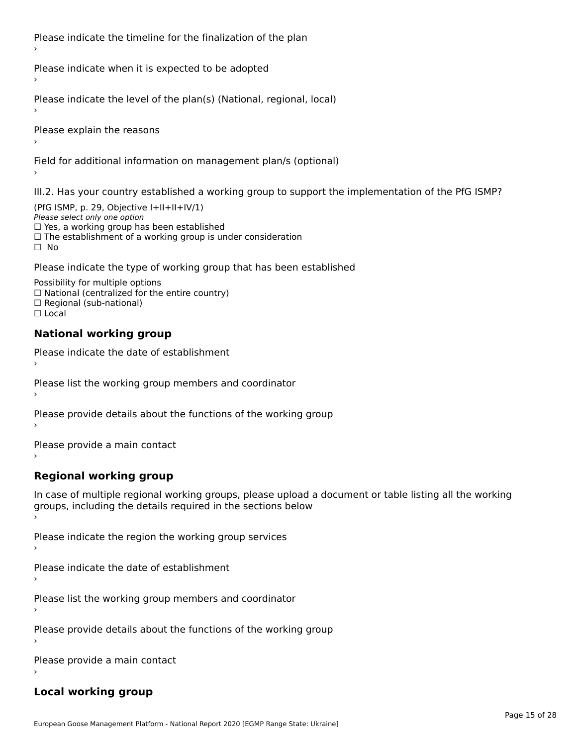Please indicate the timeline for the finalization of the plan

Please indicate when it is expected to be adopted

Please indicate the level of the plan(s) (National, regional, local)

Please explain the reasons

Field for additional information on management plan/s (optional)

III.2. Has your country established a working group to support the implementation of the PfG ISMP?

(PfG ISMP, p. 29, Objective  $I+II+II+IV/1$ ) Please select only one option □ Yes, a working group has been established □ Tes, a working group has been established<br>□ The establishment of a working group is under consideration

Please indicate the type of working group that has been established

Possibility for multiple options ™assibility for multiple options<br>□ National (centralized for the entire country) □ National (centralized io<br>□ Regional (sub-national)  $\Box$  Local

#### **National working group**

›

Please indicate the date of establishment

Please list the working group members and coordinator ›

Please provide details about the functions of the working group ›

Please provide a main contact ›

**Regional working group**

In case of multiple regional working groups, please upload a document or table listing all the working In case of multiple regional working groups, please upload a<br>groups, including the details required in the sections below

Please indicate the region the working group services ›

Please indicate the date of establishment ›

Please list the working group members and coordinator ›

Please provide details about the functions of the working group ›

Please provide a main contact ›

# **Local working group**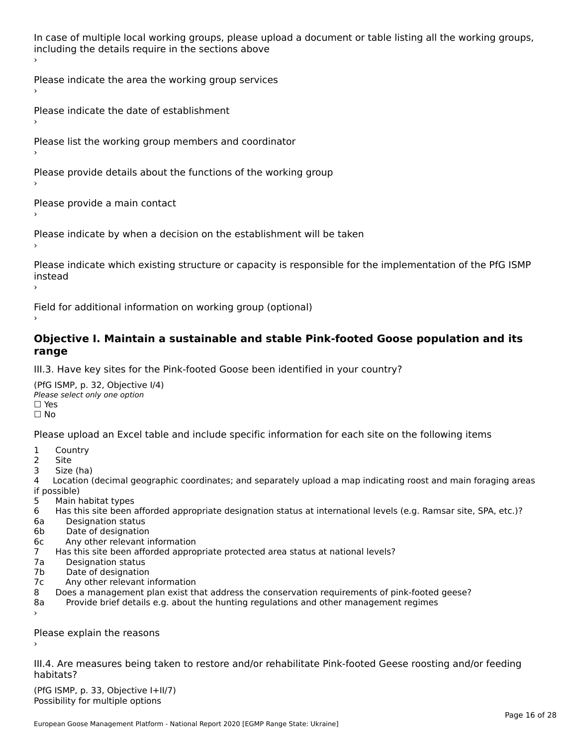In case of multiple local working groups, please upload a document or table listing all the working groups, including the details require in the sections above

Please indicate the area the working group services ›

Please indicate the date of establishment ›

Please list the working group members and coordinator

›

Please provide details about the functions of the working group ›

Please provide a main contact ›

Please indicate by when a decision on the establishment will be taken

Please indicate which existing structure or capacity is responsible for the implementation of the PfG ISMP instead ›

Field for additional information on working group (optional)

### **Objective I. Maintain a sustainable and stable Pink-footed Goose population and its range**range

III.3. Have key sites for the Pink-footed Goose been identified in your country?

(PfG ISMP, p. 32, Objective I/4)Please select only one option ☐ Yes☐ No

Please upload an Excel table and include specific information for each site on the following items

- $1 \quad \alpha$
- 2 Site
- 2 Site<br>3 Size (ha)

د حدد una<br>4 Location (decimal geographic coordinates; and separately upload a map indicating roost and main foraging areas 4 Location<br>if possible)

- 5 Main habitat types
- 6 Has this site been afforded appropriate designation status at international levels (e.g. Ramsar site, SPA, etc.)? 6. Bestweetter status
- 6a Designation status<br>6b Date of designation
- 
- 6c Any other relevant information
- 7 Has this site been afforded appropriate protected area status at national levels? 7a Designation status
- 7a Designation status<br>7b Date of designation
- 
- 7c Any other relevant information
- 8 Does a management plan exist that address the conservation requirements of pink-footed geese?
- 8a Provide brief details e.g. about the hunting regulations and other management regimes ›

Please explain the reasons

III.4. Are measures being taken to restore and/or rehabilitate Pink-footed Geese roosting and/or feeding habitats?

 $(PCI GMP, p. 33, Qb)$  is the I+II/7) Possibility for multiple optionsPossibility for multiple options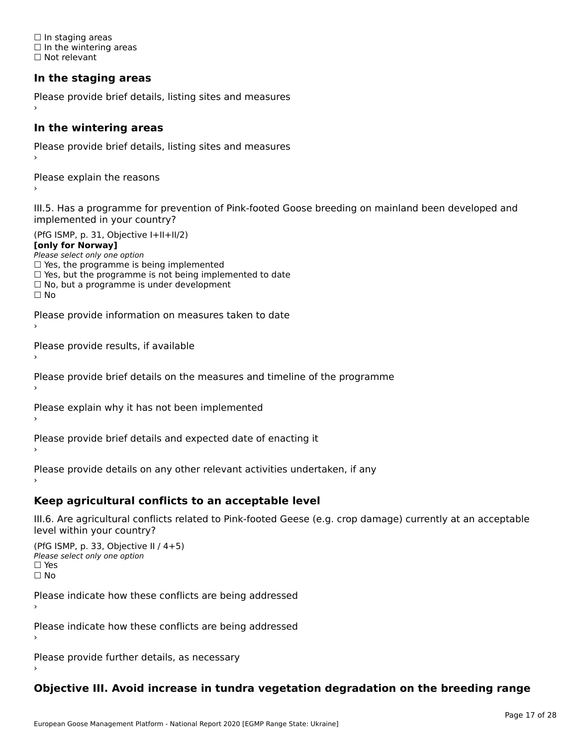☐ In staging areas □ in staging areas<br>□ In the wintering areas ☐ Not relevant

# **In the staging areas**

```
Please provide brief details, listing sites and measures ›
```
#### **In the wintering areas**

Please provide brief details, listing sites and measures ›

Please explain the reasons

III.5. Has a programme for prevention of Pink-footed Goose breeding on mainland been developed and implemented in your country?

(PfG ISMP, p. 31, Objective I+II+II/2)

**[only for Norway]**

Please select only one option riease select only one option<br>□ Yes, the programme is being implemented

 $\Box$  ies, the programme is being implemented to date  $\Box$  Yes, but the programme is not being implemented to date

 $\Box$  No, but a programme is under development

Please provide information on measures taken to date

Please provide results, if available

Please provide brief details on the measures and timeline of the programme

Please explain why it has not been implemented

Please provide brief details and expected date of enacting it

Please provide details on any other relevant activities undertaken, if any›

**Keep agricultural conflicts to an acceptable level**

III.6. Are agricultural conflicts related to Pink-footed Geese (e.g. crop damage) currently at an acceptable

```
(PfG ISMP, p. 33, Objective II (4+5))
Please select only one option
☐ Yes☐ No
```
Please indicate how these conflicts are being addressed

Please indicate how these conflicts are being addressed›

Please provide further details, as necessary ›

# **Objective III. Avoid increase in tundra vegetation degradation on the breeding range**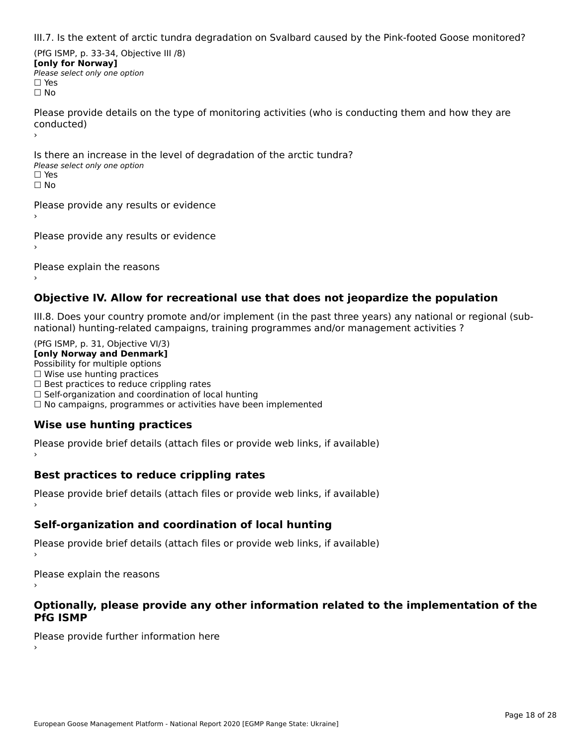III.7. Is the extent of arctic tundra degradation on Svalbard caused by the Pink-footed Goose monitored?

(PfG ISMP, p. 33-34, Objective III /8) **[only for Norway] Please select only one option** □ Yes<br>□ No

Please provide details on the type of monitoring activities (who is conducting them and how they are riease prov ›

Is there an increase in the level of degradation of the arctic tundra? □ CitCre dir increduce in c<br>Please select only one option □ Yes<br>□ No

Please provide any results or evidence

Please provide any results or evidence

Please explain the reasons

›

### **Objective IV. Allow for recreational use that does not jeopardize the population**

III.8. Does your country promote and/or implement (in the past three years) any national or regional (sub $m.6.198$  your country promove and/or miplement (in the past time years) any national or

(PfG ISMP, p. 31, Objective VI/3) **[only Norway and Denmark]** Possibility for multiple options ☐ Wise use hunting practices  $\Box$  wise use numing practices<br> $\Box$  Best practices to reduce crippling rates □ Best practices to reduce crippinig rates<br>□ Self-organization and coordination of local hunting □ Sen-organization and coordination or local nunting<br>□ No campaigns, programmes or activities have been implemented

# **Wise use hunting practices**

Please provide brief details (attach files or provide web links, if available) ›

# **Best practices to reduce crippling rates**

Please provide brief details (attach files or provide web links, if available)

# **Self-organization and coordination of local hunting**

Please provide brief details (attach files or provide web links, if available)

Please explain the reasons

### **Optionally, please provide any other information related to the implementation of the PfG ISMP**

Please provide further information here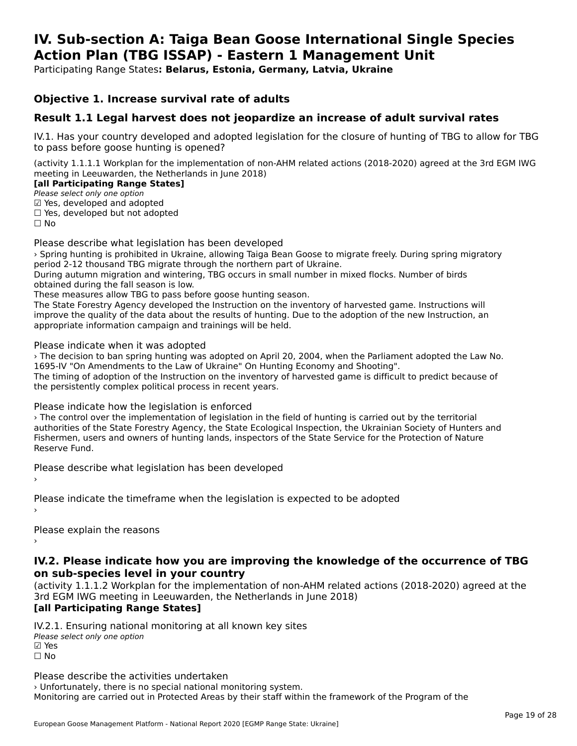#### **IV. Sub-section A: Taiga Bean Goose International Single Species Action Plan (TBG ISSAP) - Eastern 1 Management UnitAction Plan (TBG ISSAP) - Eastern 1 Management Unit**

Participating Range States**: Belarus, Estonia, Germany, Latvia, Ukraine** 

# **Objective 1. Increase survival rate of adults**

# **Result 1.1 Legal harvest does not jeopardize an increase of adult survival rates**

IV.1. Has your country developed and adopted legislation for the closure of hunting of TBG to allow for TBG to pass before goose hunting is opened?

(activity 1.1.1.1 Workplan for the implementation of non-AHM related actions (2018-2020) agreed at the 3rd EGM IWG meeting in Leeuwarden, the Netherlands in June 2018)

#### **[all Participating Range States]**

**Lan Tarticipating Range**<br>Please select only one option

Prease select only one option<br>☑ Yes, developed and adopted

 $\Box$  ies, developed but not adopted

Please describe what legislation has been developed

› Spring hunting is prohibited in Ukraine, allowing Taiga Bean Goose to migrate freely. During spring migratory period 2-12 thousand TBG migrate through the northern part of Ukraine.

During autumn migration and wintering, TBG occurs in small number in mixed flocks. Number of birds obtained during the fall season is low.

These measures allow TBG to pass before goose hunting season.

The State Forestry Agency developed the Instruction on the inventory of harvested game. Instructions will<br>The State Forestry Agency developed the Instruction on the inventory of harvested game. Instructions will ime state rolestly Agency developed the instruction on the inventory of harvested game. Instructions will improve the quality of the data about the results of hunting. Due to the adoption of the new Instruction, an appropriate information campaign and trainings will be held.

Please indicate when it was adopted

I case indicate when it was adopted<br>> The decision to ban spring hunting was adopted on April 20, 2004, when the Parliament adopted the Law No. 1695-IV "On Amendments to the Law of Ukraine" On Hunting Economy and Shooting".

To 33-TV TON AMENUMENTS to the Law of Oxfanie TON Hunting Economy and Shooting.<br>The timing of adoption of the Instruction on the inventory of harvested game is difficult to predict because of the persistently complex political process in recent years.

### Please indicate how the legislation is enforced

› The control over the implementation of legislation in the field of hunting is carried out by the territorial authorities of the State Forestry Agency, the State Ecological Inspection, the Ukrainian Society of Hunters and additiontles of the state rolestly Agency, the state Ecological Inspection, the Oxfamilan Society of Hunters<br>Fishermen, users and owners of hunting lands, inspectors of the State Service for the Protection of Nature Reserve Fund.

Please describe what legislation has been developed

Please indicate the timeframe when the legislation is expected to be adopted

Please explain the reasons

#### **IV.2. Please indicate how you are improving the knowledge of the occurrence of TBG on sub-species level in your country**on sub-species level in your country

on sub-species fever in your country<br>(activity 1.1.1.2 Workplan for the implementation of non-AHM related actions (2018-2020) agreed at the **Brd EGM IWG meeting in Leeuwarden, the Netherlands in June 2018)** 

#### [all Participating Range States]

IV.2.1. Ensuring national monitoring at all known key sites ™ Ensuring nutional<br>Please select only one option **⊠** Yes ☐ No

Please describe the activities undertaken › Unfortunately, there is no special national monitoring system. Monitoring are carried out in Protected Areas by their staff within the framework of the Program of the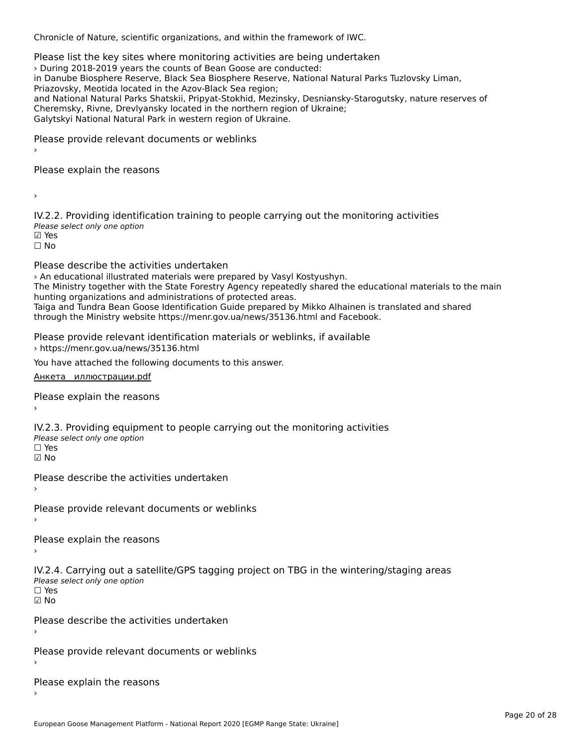Chronicle of Nature, scientific organizations, and within the framework of IWC.

Please list the key sites where monitoring activities are being undertaken › During 2018-2019 years the counts of Bean Goose are conducted: in Danube Biosphere Reserve, Black Sea Biosphere Reserve, National Natural Parks Tuzlovsky Liman, In Bandbe Blosphere Reserve, Black Sea Blosphere Reserv<br>Priazovsky, Meotida located in the Azov-Black Sea region; Phazovsky, Meotiua located in the Azov-Black Sea Teglon,<br>and National Natural Parks Shatskii, Pripyat-Stokhid, Mezinsky, Desniansky-Starogutsky, nature reserves of Galytskyi National Natural Park in western region of Ukraine.Galytskyi National Natural Park in western region of Ukraine.

Please provide relevant documents or weblinks

Please explain the reasons

›

IV.2.2. Providing identification training to people carrying out the monitoring activities TWEIL: THOMAING REFILITION<br>Please select only one option  $\boxtimes$  Yes ☐ No

Please describe the activities undertaken

› An educational illustrated materials were prepared by Vasyl Kostyushyn.

The Ministry together with the State Forestry Agency repeatedly shared the educational materials to the main The ministry together with the state rorestry Agency repeated<br>hunting organizations and administrations of protected areas.

Taiga and Tundra Bean Goose Identification Guide prepared by Mikko Alhainen is translated and shared through the Ministry website https://menr.gov.ua/news/35136.html and Facebook.

Please provide relevant identification materials or weblinks, if available › https://menr.gov.ua/news/35136.html

You have attached the following documents to this answer.

[Анкета\\_\\_иллюстрации.pdf](http://aewa-ort.ort-production.linode.unep-wcmc.org/answers/2657905/documents/1574)

Please explain the reasons

IV.2.3. Providing equipment to people carrying out the monitoring activities rv.2.5. I roviding equipm<br>Please select only one option ☐ Yes☑ No

Please describe the activities undertaken›

Please provide relevant documents or weblinks

Please explain the reasons

IV.2.4. Carrying out a satellite/GPS tagging project on TBG in the wintering/staging areas rv.2.4. Carrying out a sc<br>Please select only one option ☐ Yes

☑ No

Please describe the activities undertaken›

Please provide relevant documents or weblinks

Please explain the reasons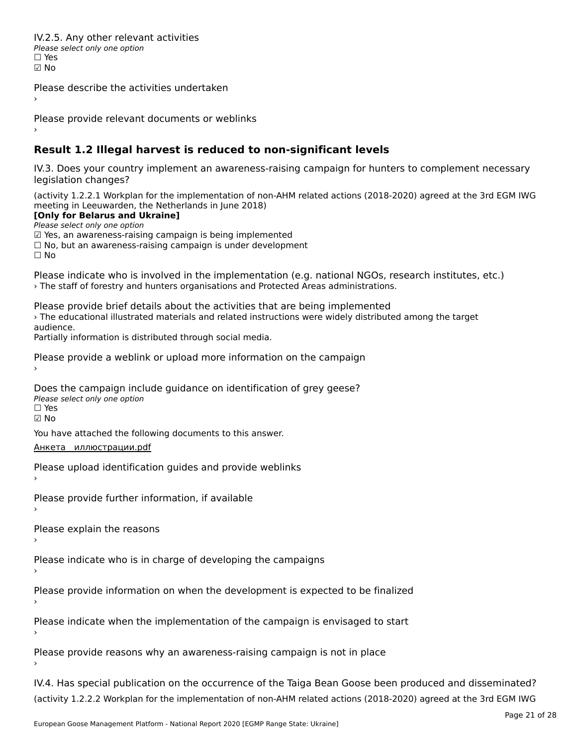IV.2.5. Any other relevant activities Please select only one option ☐ Yes☑ No

Please describe the activities undertaken›

Please provide relevant documents or weblinks

# **Result 1.2 Illegal harvest is reduced to non-significant levels**

IV.3. Does your country implement an awareness-raising campaign for hunters to complement necessary legislation changes?

(activity 1.2.2.1 Workplan for the implementation of non-AHM related actions (2018-2020) agreed at the 3rd EGM IWG meeting in Leeuwarden, the Netherlands in June 2018)

**[Only for Belarus and Ukraine]**

**Please select only one option** 

*riease select only one option*<br>മ Yes, an awareness-raising campaign is being implemented

⊠ Tes, an awareness-raising campaign is being implemented<br>□ No, but an awareness-raising campaign is under development

☐ No

Please indicate who is involved in the implementation (e.g. national NGOs, research institutes, etc.) › The staff of forestry and hunters organisations and Protected Areas administrations.

Please provide brief details about the activities that are being implemented ricuse provide brief details about the activities that are being implemented<br>> The educational illustrated materials and related instructions were widely distributed among the target

Partially information is distributed through social media.

Please provide a weblink or upload more information on the campaign

Does the campaign include guidance on identification of grey geese? Please select only one option

☐ Yes☑ No

You have attached the following documents to this answer.

### днкета иллюстрации.pdf

Please upload identification guides and provide weblinks

Please provide further information, if available

Please explain the reasons

Please indicate who is in charge of developing the campaigns

Please provide information on when the development is expected to be finalized

Please indicate when the implementation of the campaign is envisaged to start

Please provide reasons why an awareness-raising campaign is not in place

IV.4. Has special publication on the occurrence of the Taiga Bean Goose been produced and disseminated? (activity 1.2.2.2 Workplan for the implementation of non-AHM related actions (2018-2020) agreed at the 3rd EGM IWG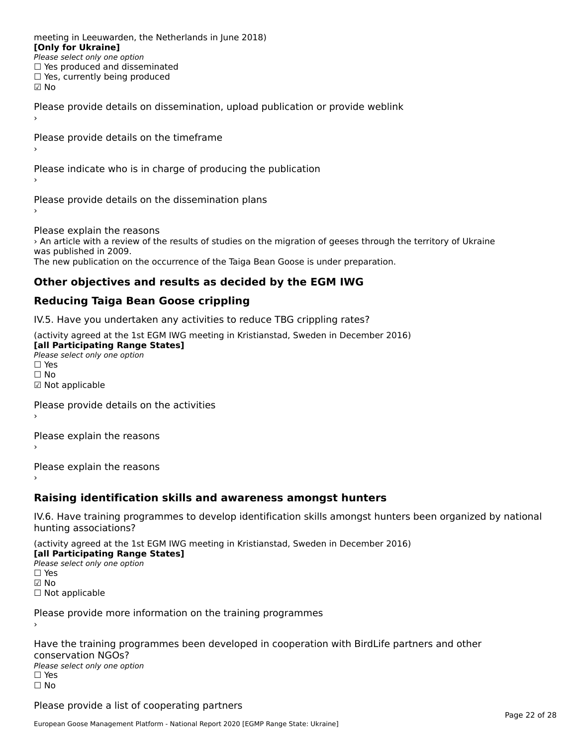meeting in Leeuwarden, the Netherlands in June 2018) **[Only for Ukraine] LOTTLY TOT ONTAILLET**<br>Please select only one option *Please select only one option*<br>□ Yes produced and disseminated □ Tes produced and dissemmate<br>□ Yes, currently being produced ☑ No

Please provide details on dissemination, upload publication or provide weblink

Please provide details on the timeframe

Please indicate who is in charge of producing the publication

Please provide details on the dissemination plans

Please explain the reasons riedse explain the reasons<br>> An article with a review of the results of studies on the migration of geeses through the territory of Ukraine was published in 2009.<br>The new publication on the occurrence of the Taiga Bean Goose is under preparation.

# **Other objectives and results as decided by the EGM IWG**

#### **Reducing Taiga Bean Goose crippling**

IV.5. Have you undertaken any activities to reduce TBG crippling rates?

(activity agreed at the 1st EGM IWG meeting in Kristianstad, Sweden in December 2016)

**[all Participating Range States] Lan T articipating Range**<br>Please select only one option

□ Yes<br>□ No

☑ Not applicable

Please provide details on the activities

Please explain the reasons

Please explain the reasons

### **Raising identification skills and awareness amongst hunters**

IV.6. Have training programmes to develop identification skills amongst hunters been organized by national hunting associations?

(activity agreed at the 1st EGM IWG meeting in Kristianstad, Sweden in December 2016) **[all Participating Range States]**

[all Participating Range States] **Please select only one option** ☑ No

☐ Not applicable

Please provide more information on the training programmes

Have the training programmes been developed in cooperation with BirdLife partners and other riave the training pro<br>conservation NGOs? Please select only one option☐ Yes☐ No

Please provide a list of cooperating partners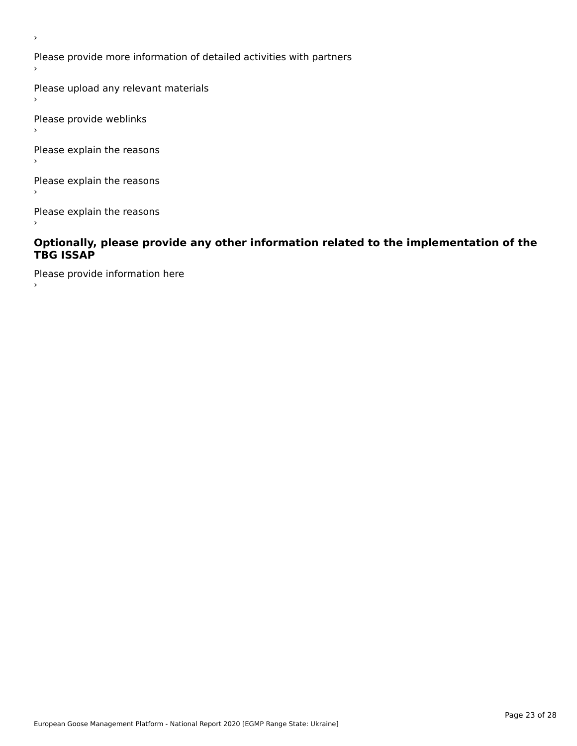Please provide more information of detailed activities with partners

Please upload any relevant materials

Please provide weblinks

›

 $\,$ 

Please explain the reasons

Please explain the reasons

Please explain the reasons

### **Optionally, please provide any other information related to the implementation of the TBG ISSAP**

Please provide information here  $\,$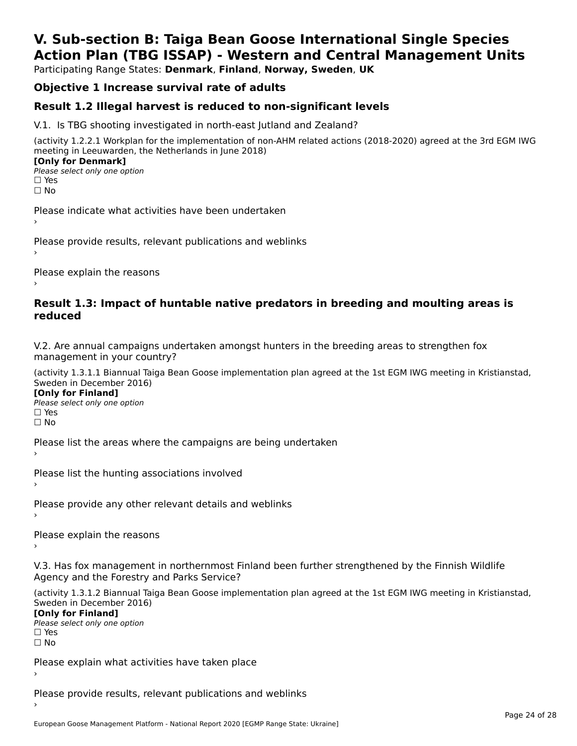# **V. Sub-section B: Taiga Bean Goose International Single SpeciesAction Plan (TBG ISSAP) - Western and Central Management Units**

Participating Range States: **Denmark**, **Finland**, **Norway, Sweden**, **UK**

# **Objective 1 Increase survival rate of adults**

# **Result 1.2 Illegal harvest is reduced to non-significant levels**

V.1. Is TBG shooting investigated in north-east Jutland and Zealand?

(activity 1.2.2.1 Workplan for the implementation of non-AHM related actions (2018-2020) agreed at the 3rd EGM IWG meeting in Leeuwarden, the Netherlands in June 2018) **[Only for Denmark] LOTTLY TOT DETITIONS**<br>Please select only one option

*riease*<br>□ Yes<br>□ No

Please indicate what activities have been undertaken›

Please provide results, relevant publications and weblinks ›

Please explain the reasons

### **Result 1.3: Impact of huntable native predators in breeding and moulting areas is reduced**

V.2. Are annual campaigns undertaken amongst hunters in the breeding areas to strengthen fox v.z. Are annual campaigns und<br>management in your country?

(activity 1.3.1.1 Biannual Taiga Bean Goose implementation plan agreed at the 1st EGM IWG meeting in Kristianstad, Sweden in December 2016)

**[Only for Finland]** Please select only one optionriease<br>□ Yes ים וכ<br>⊡ No

Please list the areas where the campaigns are being undertaken

Please list the hunting associations involved

Please provide any other relevant details and weblinks ›

Please explain the reasons›

V.3. Has fox management in northernmost Finland been further strengthened by the Finnish Wildlife v.5. Has fox management in northernmost F<br>Agency and the Forestry and Parks Service?

(activity 1.3.1.2 Biannual Taiga Bean Goose implementation plan agreed at the 1st EGM IWG meeting in Kristianstad, Sweden in December 2016) Sweden in December 2016)

[Only for Finland]

**Please select only one option** □ Yes<br>□ No

Please explain what activities have taken place

Please provide results, relevant publications and weblinks ›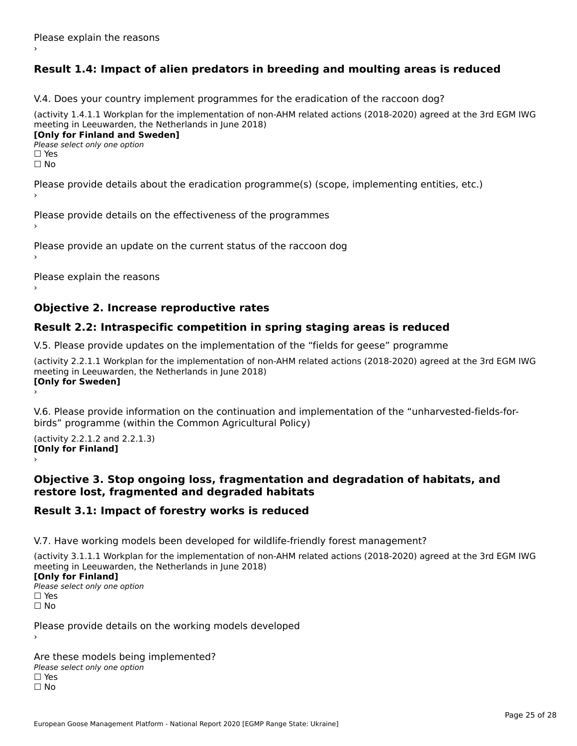# **Result 1.4: Impact of alien predators in breeding and moulting areas is reduced**

V.4. Does your country implement programmes for the eradication of the raccoon dog?

(activity 1.4.1.1 Workplan for the implementation of non-AHM related actions (2018-2020) agreed at the 3rd EGM IWG meeting in Leeuwarden, the Netherlands in June 2018) **[Only for Finland and Sweden]**

**Please select only one option** 

□ Yes<br>□ No

Please provide details about the eradication programme(s) (scope, implementing entities, etc.)

Please provide details on the effectiveness of the programmes

Please provide an update on the current status of the raccoon dog

Please explain the reasons

# **Objective 2. Increase reproductive rates**

# **Result 2.2: Intraspecific competition in spring staging areas is reduced**

V.5. Please provide updates on the implementation of the "fields for geese" programme

(activity 2.2.1.1 Workplan for the implementation of non-AHM related actions (2018-2020) agreed at the 3rd EGM IWG meeting in Leeuwarden, the Netherlands in June 2018) Loury for Swedent

V.6. Please provide information on the continuation and implementation of the "unharvested-fields-forbirds" programme (within the Common Agricultural Policy)birds" programme (within the Common Agricultural Policy)

(activity 2.2.1.2 and 2.2.1.3) **[Only for Finland]** ›

### **Objective 3. Stop ongoing loss, fragmentation and degradation of habitats, and restore lost, fragmented and degraded habitats**

# **Result 3.1: Impact of forestry works is reduced**

V.7. Have working models been developed for wildlife-friendly forest management?

(activity 3.1.1.1 Workplan for the implementation of non-AHM related actions (2018-2020) agreed at the 3rd EGM IWG meeting in Leeuwarden, the Netherlands in June 2018)

### **[Only for Finland]**

**Please select only one option** □ Yes<br>□ No

Please provide details on the working models developed

Are these models being implemented? ∩ne enese moders being<br>Please select only one option □ Yes<br>□ No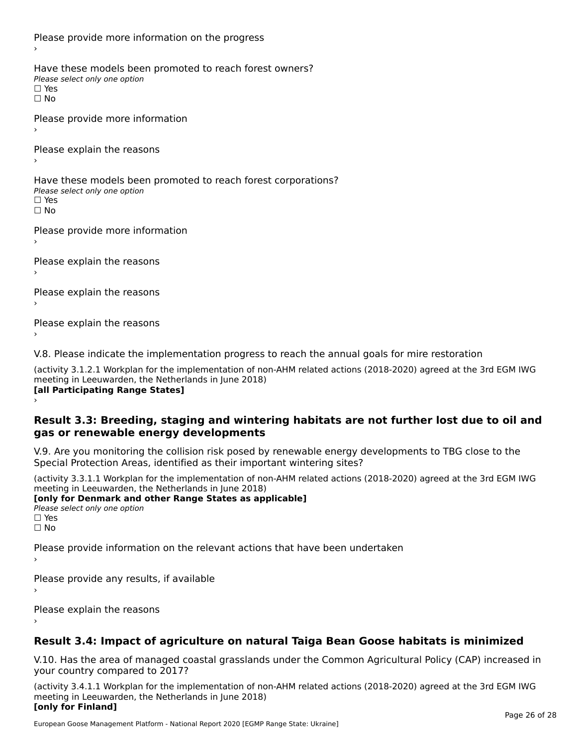Please provide more information on the progress Have these models been promoted to reach forest owners? ∩ave these models bee<br>Please select only one option □ Yes<br>□ No Please provide more information Please explain the reasons ›Have these models been promoted to reach forest corporations? ∩ave these models bee<br>Please select only one option □ Yes<br>□ No Please provide more information Please explain the reasons ›Please explain the reasons›Please explain the reasons›

V.8. Please indicate the implementation progress to reach the annual goals for mire restoration

(activity 3.1.2.1 Workplan for the implementation of non-AHM related actions (2018-2020) agreed at the 3rd EGM IWG meeting in Leeuwarden, the Netherlands in June 2018) **[all Participating Range States]** ›

**Result 3.3: Breeding, staging and wintering habitats are not further lost due to oil and gas or renewable energy developments**gas or renewable energy developments

V.9. Are you monitoring the collision risk posed by renewable energy developments to TBG close to the Special Protection Areas, identified as their important wintering sites?

(activity 3.3.1.1 Workplan for the implementation of non-AHM related actions (2018-2020) agreed at the 3rd EGM IWG meeting in Leeuwarden, the Netherlands in June 2018) **[only for Denmark and other Range States as applicable]**

```
Please select only one option
□ Yes<br>□ No
```
Please provide information on the relevant actions that have been undertaken ›

Please provide any results, if available

Please explain the reasons

# **Result 3.4: Impact of agriculture on natural Taiga Bean Goose habitats is minimized**

V.10. Has the area of managed coastal grasslands under the Common Agricultural Policy (CAP) increased in

(activity 3.4.1.1 Workplan for the implementation of non-AHM related actions (2018-2020) agreed at the 3rd EGM IWG meeting in Leeuwarden, the Netherlands in June 2018) **[only for Finland]**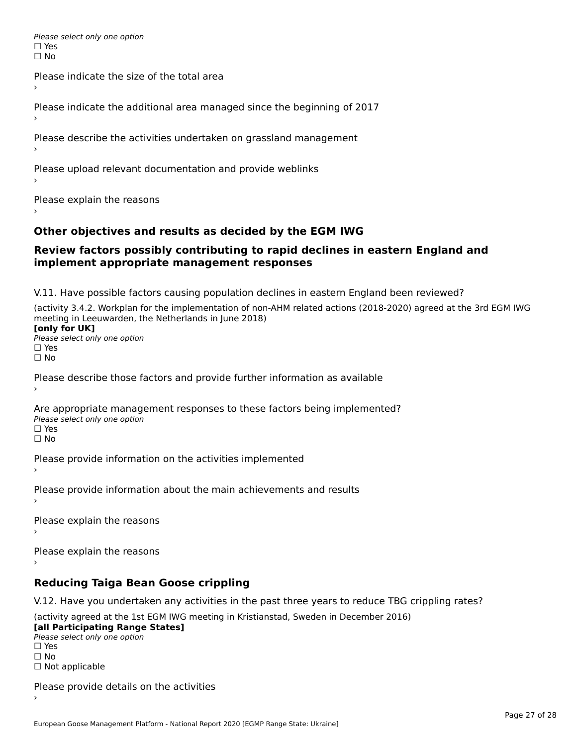Please select only one option □ Yes<br>□ No

Please indicate the size of the total area›

Please indicate the additional area managed since the beginning of 2017

Please describe the activities undertaken on grassland management

Please upload relevant documentation and provide weblinks

Please explain the reasons

# **Other objectives and results as decided by the EGM IWG**

### **Review factors possibly contributing to rapid declines in eastern England and implement appropriate management responses**implement appropriate management responses

V.11. Have possible factors causing population declines in eastern England been reviewed?

(activity 3.4.2. Workplan for the implementation of non-AHM related actions (2018-2020) agreed at the 3rd EGM IWG meeting in Leeuwarden, the Netherlands in June 2018)<br>**[only for UK]** 

**∐omy for OR**<br>Please select only one option □ Yes<br>□ No

Please describe those factors and provide further information as available

Are appropriate management responses to these factors being implemented? Please select only one option ים<br>⊡ No

Please provide information on the activities implemented

Please provide information about the main achievements and results›

Please explain the reasons

Please explain the reasons

**Reducing Taiga Bean Goose crippling**

V.12. Have you undertaken any activities in the past three years to reduce TBG crippling rates?

(activity agreed at the 1st EGM IWG meeting in Kristianstad, Sweden in December 2016) **[all Participating Range States]**

[all Participating Range States] Please select only one option☐ Yesים<br>⊡ No □ Not applicable

Please provide details on the activities